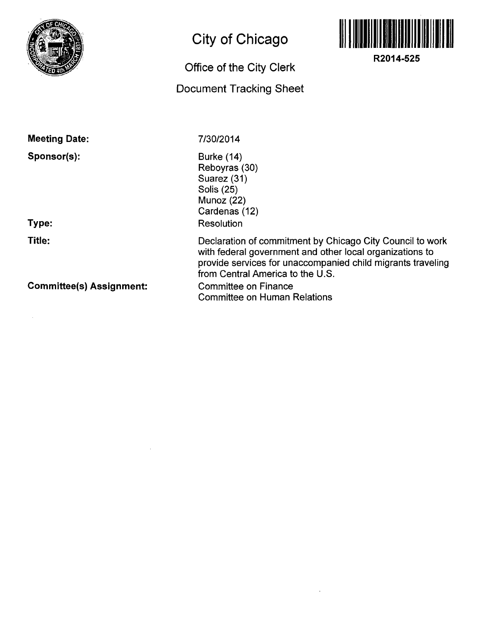

## **City of Chicago**

## Office of the City Clerk

## Document Tracking Sheet



**R2014-525** 

| <b>Meeting Date:</b>            | 7/30/2014                                                                                                                                                                                                                |
|---------------------------------|--------------------------------------------------------------------------------------------------------------------------------------------------------------------------------------------------------------------------|
| Sponsor(s):                     | <b>Burke</b> (14)<br>Reboyras (30)<br>Suarez (31)<br>Solis (25)<br>Munoz (22)<br>Cardenas (12)                                                                                                                           |
| Type:                           | Resolution                                                                                                                                                                                                               |
| Title:                          | Declaration of commitment by Chicago City Council to work<br>with federal government and other local organizations to<br>provide services for unaccompanied child migrants traveling<br>from Central America to the U.S. |
| <b>Committee(s) Assignment:</b> | Committee on Finance<br><b>Committee on Human Relations</b>                                                                                                                                                              |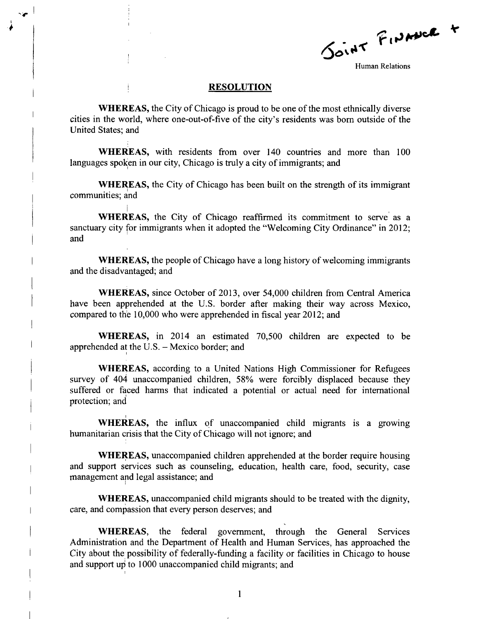SOINT FINANCE

Human Relations

## **RESOLUTION**

**I** 

NG.

WHEREAS, the City of Chicago is proud to be one of the most ethnically diverse cities in the world, where one-out-of-five of the city's residents was bom outside of the United States; and

WHEREAS, with residents from over 140 countries and more than 100 languages spoken in our city, Chicago is truly a city of immigrants; and

WHEREAS, the City of Chicago has been built on the strength of its immigrant communities; and

WHEREAS, the City of Chicago reaffirmed its commitment to serve as a sanctuary city for immigrants when it adopted the "Welcoming City Ordinance" in 2012; and

WHEREAS, the people of Chicago have a long history of welcoming immigrants and the disadvantaged; and

WHEREAS, since October of 2013, over 54,000 children from Central America have been apprehended at the U.S. border after making their way across Mexico, compared to the 10,000 who were apprehended in fiscal year 2012; and

WHEREAS, in 2014 an estimated 70,500 children are expected to be apprehended at the U.S. - Mexico border; and

WHEREAS, according to a United Nations High Commissioner for Refugees survey of 404 unaccompanied children, 58% were forcibly displaced because they suffered or faced harms that indicated a potential or actual need for international protection; and

WHEREAS, the influx of unaccompanied child migrants is a growing humanitarian crisis that the City of Chicago will not ignore; and

WHEREAS, unaccompanied children apprehended at the border require housing and support services such as counseling, education, health care, food, security, case management and legal assistance; and

WHEREAS, unaccompanied child migrants should to be treated with the dignity, care, and compassion that every person deserves; and

WHEREAS, the federal govemment, through the General Services Administration and the Department of Health and Human Services, has approached the City about the possibility of federally-funding a facility or facilities in Chicago to house and support up to 1000 unaccompanied child migrants; and

 $\mathbf{1}$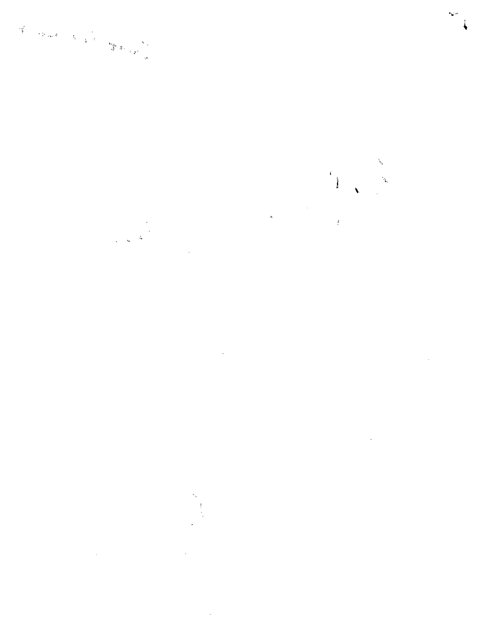

 $\label{eq:2.1} \mathcal{L}(\mathcal{L}(\mathcal{L})) = \mathcal{L}(\mathcal{L}(\mathcal{L})) = \mathcal{L}(\mathcal{L}(\mathcal{L})) = \mathcal{L}(\mathcal{L}(\mathcal{L}))$ 

 $\label{eq:2.1} \mathcal{L}_{\mathcal{A}}(\mathcal{A}) = \mathcal{L}_{\mathcal{A}}(\mathcal{A}) \mathcal{L}_{\mathcal{A}}(\mathcal{A})$